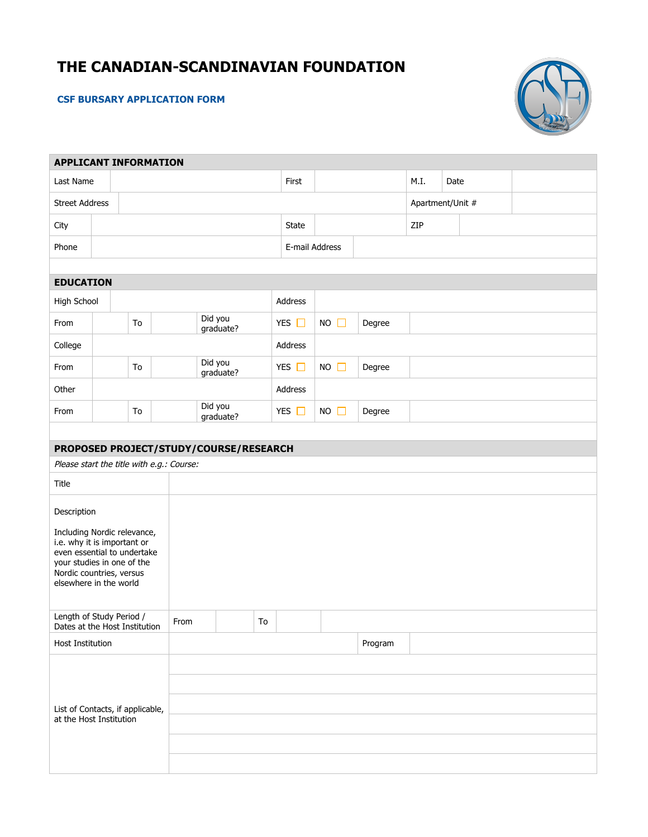# **THE CANADIAN-SCANDINAVIAN FOUNDATION**

## **CSF BURSARY APPLICATION FORM**



| <b>APPLICANT INFORMATION</b>                                                                                                                                                                 |  |                                           |      |                      |                |              |             |         |                  |      |  |
|----------------------------------------------------------------------------------------------------------------------------------------------------------------------------------------------|--|-------------------------------------------|------|----------------------|----------------|--------------|-------------|---------|------------------|------|--|
| Last Name                                                                                                                                                                                    |  |                                           |      |                      |                | First        |             |         | M.I.             | Date |  |
| <b>Street Address</b>                                                                                                                                                                        |  |                                           |      |                      |                |              |             |         | Apartment/Unit # |      |  |
| City                                                                                                                                                                                         |  |                                           |      |                      |                | <b>State</b> |             |         | ZIP              |      |  |
| Phone                                                                                                                                                                                        |  |                                           |      |                      | E-mail Address |              |             |         |                  |      |  |
|                                                                                                                                                                                              |  |                                           |      |                      |                |              |             |         |                  |      |  |
| <b>EDUCATION</b>                                                                                                                                                                             |  |                                           |      |                      |                |              |             |         |                  |      |  |
| High School                                                                                                                                                                                  |  |                                           |      |                      |                | Address      |             |         |                  |      |  |
| From                                                                                                                                                                                         |  | To                                        |      | Did you<br>graduate? |                | YES $\Box$   | $NO$ $\Box$ | Degree  |                  |      |  |
| College                                                                                                                                                                                      |  |                                           |      |                      |                | Address      |             |         |                  |      |  |
| From                                                                                                                                                                                         |  | To                                        |      | Did you<br>graduate? |                | YES $\Box$   | $NO$ $\Box$ | Degree  |                  |      |  |
| Other                                                                                                                                                                                        |  |                                           |      |                      |                | Address      |             |         |                  |      |  |
| From                                                                                                                                                                                         |  | To                                        |      | Did you<br>graduate? |                | YES $\Box$   | $NO$ $\Box$ | Degree  |                  |      |  |
|                                                                                                                                                                                              |  |                                           |      |                      |                |              |             |         |                  |      |  |
| PROPOSED PROJECT/STUDY/COURSE/RESEARCH                                                                                                                                                       |  |                                           |      |                      |                |              |             |         |                  |      |  |
|                                                                                                                                                                                              |  | Please start the title with e.g.: Course: |      |                      |                |              |             |         |                  |      |  |
| Title                                                                                                                                                                                        |  |                                           |      |                      |                |              |             |         |                  |      |  |
| Description<br>Including Nordic relevance,<br>i.e. why it is important or<br>even essential to undertake<br>your studies in one of the<br>Nordic countries, versus<br>elsewhere in the world |  |                                           |      |                      |                |              |             |         |                  |      |  |
| Length of Study Period /<br>Dates at the Host Institution                                                                                                                                    |  |                                           | From |                      | To             |              |             |         |                  |      |  |
| Host Institution                                                                                                                                                                             |  |                                           |      |                      |                |              |             | Program |                  |      |  |
|                                                                                                                                                                                              |  |                                           |      |                      |                |              |             |         |                  |      |  |
| List of Contacts, if applicable,<br>at the Host Institution                                                                                                                                  |  |                                           |      |                      |                |              |             |         |                  |      |  |
|                                                                                                                                                                                              |  |                                           |      |                      |                |              |             |         |                  |      |  |
|                                                                                                                                                                                              |  |                                           |      |                      |                |              |             |         |                  |      |  |
|                                                                                                                                                                                              |  |                                           |      |                      |                |              |             |         |                  |      |  |
|                                                                                                                                                                                              |  |                                           |      |                      |                |              |             |         |                  |      |  |